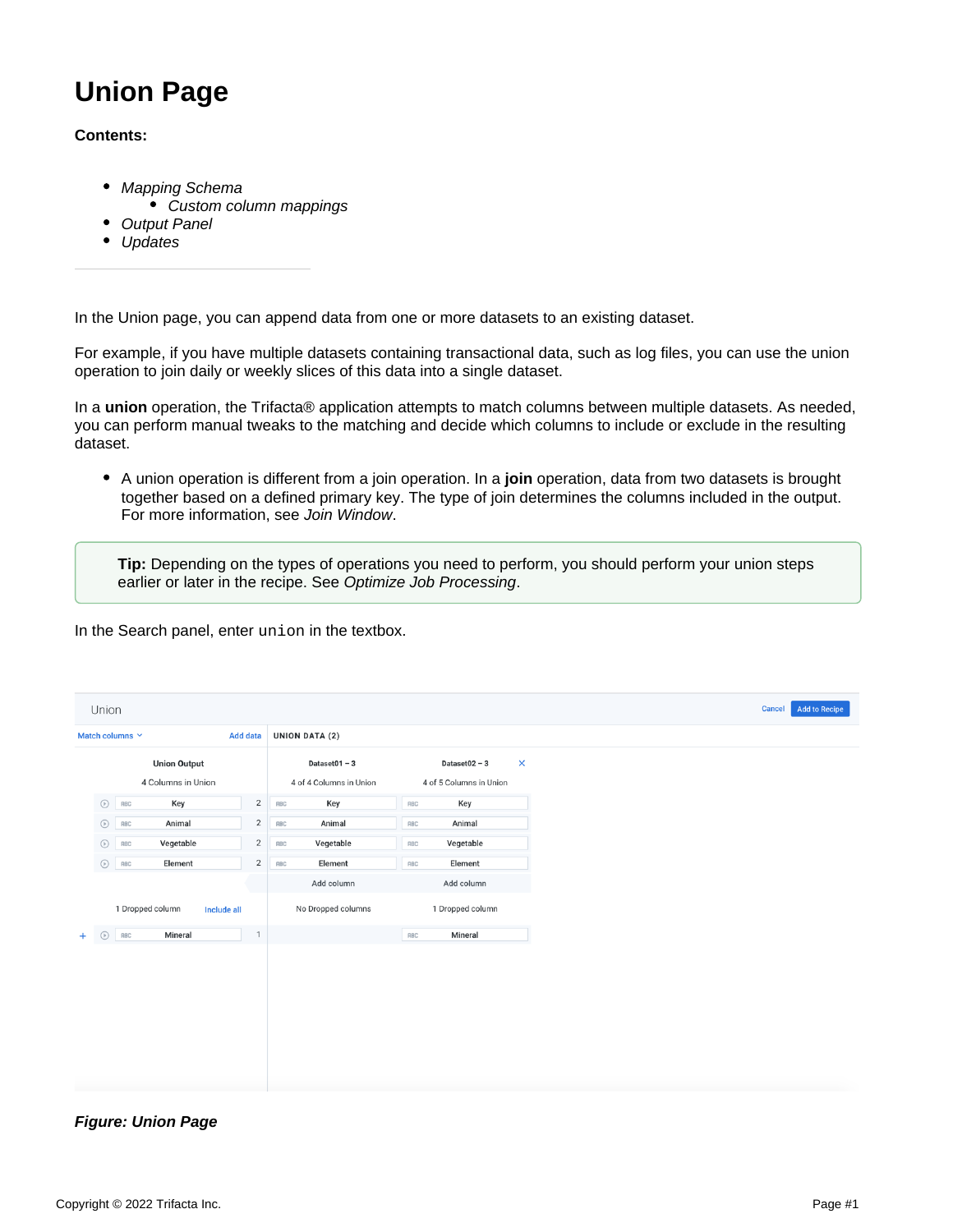# **Union Page**

#### **Contents:**

- [Mapping Schema](#page-1-0)
	- [Custom column mappings](#page-1-1)
- **[Output Panel](#page-2-0)**
- [Updates](#page-3-0)

In the Union page, you can append data from one or more datasets to an existing dataset.

For example, if you have multiple datasets containing transactional data, such as log files, you can use the union operation to join daily or weekly slices of this data into a single dataset.

In a **union** operation, the Trifacta® application attempts to match columns between multiple datasets. As needed, you can perform manual tweaks to the matching and decide which columns to include or exclude in the resulting dataset.

A union operation is different from a join operation. In a **join** operation, data from two datasets is brought together based on a defined primary key. The type of join determines the columns included in the output. For more information, see [Join Window](https://docs.trifacta.com/display/AWS/Join+Window).

**Tip:** Depending on the types of operations you need to perform, you should perform your union steps earlier or later in the recipe. See [Optimize Job Processing](https://docs.trifacta.com/display/AWS/Optimize+Job+Processing).

In the Search panel, enter union in the textbox.

| Union                              |  |                     |                    |                |                         |     |                             |  |
|------------------------------------|--|---------------------|--------------------|----------------|-------------------------|-----|-----------------------------|--|
| Match columns Y<br><b>Add data</b> |  |                     |                    |                | <b>UNION DATA (2)</b>   |     |                             |  |
|                                    |  | <b>Union Output</b> |                    |                | Dataset $01 - 3$        |     | Dataset02 - $3$<br>$\times$ |  |
|                                    |  | 4 Columns in Union  |                    |                | 4 of 4 Columns in Union |     | 4 of 5 Columns in Union     |  |
| $\odot$                            |  | Key<br>RBC          |                    | $\overline{2}$ | Key<br>RBC              | RBC | Key                         |  |
| $\odot$                            |  | Animal<br>RBC       |                    | $\sqrt{2}$     | Animal<br>RBC           | RBC | Animal                      |  |
| $\circ$                            |  | Vegetable<br>RBC    |                    | $\overline{2}$ | Vegetable<br>RBC        | RBC | Vegetable                   |  |
| $\odot$                            |  | Element<br>RBC      |                    | $\overline{2}$ | Element<br>RBC          | RBC | Element                     |  |
|                                    |  |                     |                    |                | Add column              |     | Add column                  |  |
|                                    |  | 1 Dropped column    | <b>Include all</b> |                | No Dropped columns      |     | 1 Dropped column            |  |
| $\odot$<br>$+$                     |  | Mineral<br>RBC      |                    | $\overline{1}$ |                         | RBC | Mineral                     |  |
|                                    |  |                     |                    |                |                         |     |                             |  |
|                                    |  |                     |                    |                |                         |     |                             |  |
|                                    |  |                     |                    |                |                         |     |                             |  |
|                                    |  |                     |                    |                |                         |     |                             |  |
|                                    |  |                     |                    |                |                         |     |                             |  |
|                                    |  |                     |                    |                |                         |     |                             |  |
|                                    |  |                     |                    |                |                         |     |                             |  |
|                                    |  |                     |                    |                |                         |     |                             |  |

**Figure: Union Page**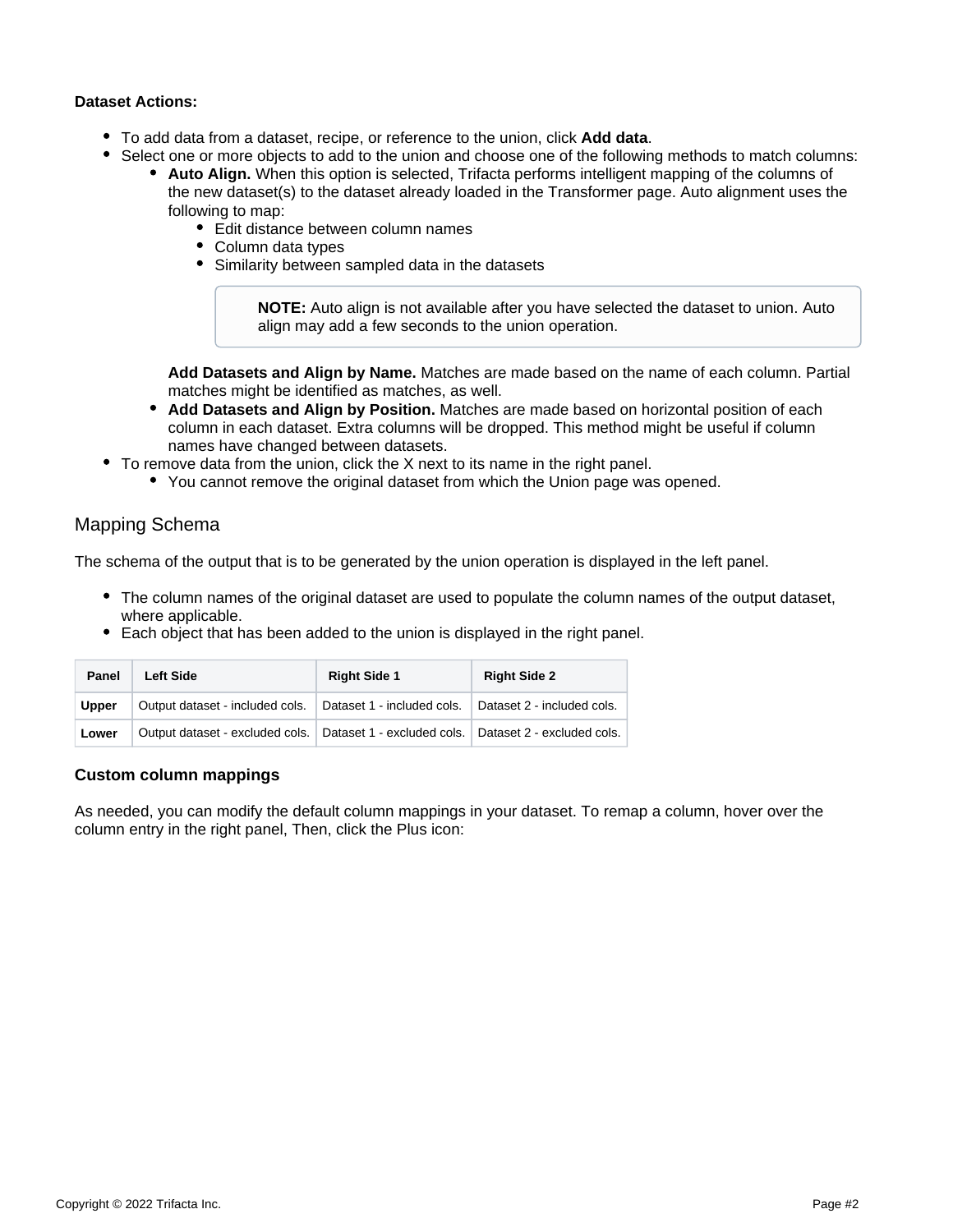#### **Dataset Actions:**

- To add data from a dataset, recipe, or reference to the union, click **Add data**.
- Select one or more objects to add to the union and choose one of the following methods to match columns:
	- **Auto Align.** When this option is selected, Trifacta performs intelligent mapping of the columns of the new dataset(s) to the dataset already loaded in the Transformer page. Auto alignment uses the following to map:
		- Edit distance between column names
		- Column data types
		- Similarity between sampled data in the datasets

**NOTE:** Auto align is not available after you have selected the dataset to union. Auto align may add a few seconds to the union operation.

**Add Datasets and Align by Name.** Matches are made based on the name of each column. Partial matches might be identified as matches, as well.

- **Add Datasets and Align by Position.** Matches are made based on horizontal position of each column in each dataset. Extra columns will be dropped. This method might be useful if column names have changed between datasets.
- To remove data from the union, click the X next to its name in the right panel.
	- You cannot remove the original dataset from which the Union page was opened.

## <span id="page-1-0"></span>Mapping Schema

The schema of the output that is to be generated by the union operation is displayed in the left panel.

- The column names of the original dataset are used to populate the column names of the output dataset, where applicable.
- Each object that has been added to the union is displayed in the right panel.

| Panel        | <b>Left Side</b>                                                                          | <b>Right Side 1</b> | <b>Right Side 2</b> |
|--------------|-------------------------------------------------------------------------------------------|---------------------|---------------------|
| <b>Upper</b> | Output dataset - included cols.   Dataset 1 - included cols.   Dataset 2 - included cols. |                     |                     |
| Lower        | Output dataset - excluded cols.   Dataset 1 - excluded cols.   Dataset 2 - excluded cols. |                     |                     |

#### <span id="page-1-1"></span>**Custom column mappings**

As needed, you can modify the default column mappings in your dataset. To remap a column, hover over the column entry in the right panel, Then, click the Plus icon: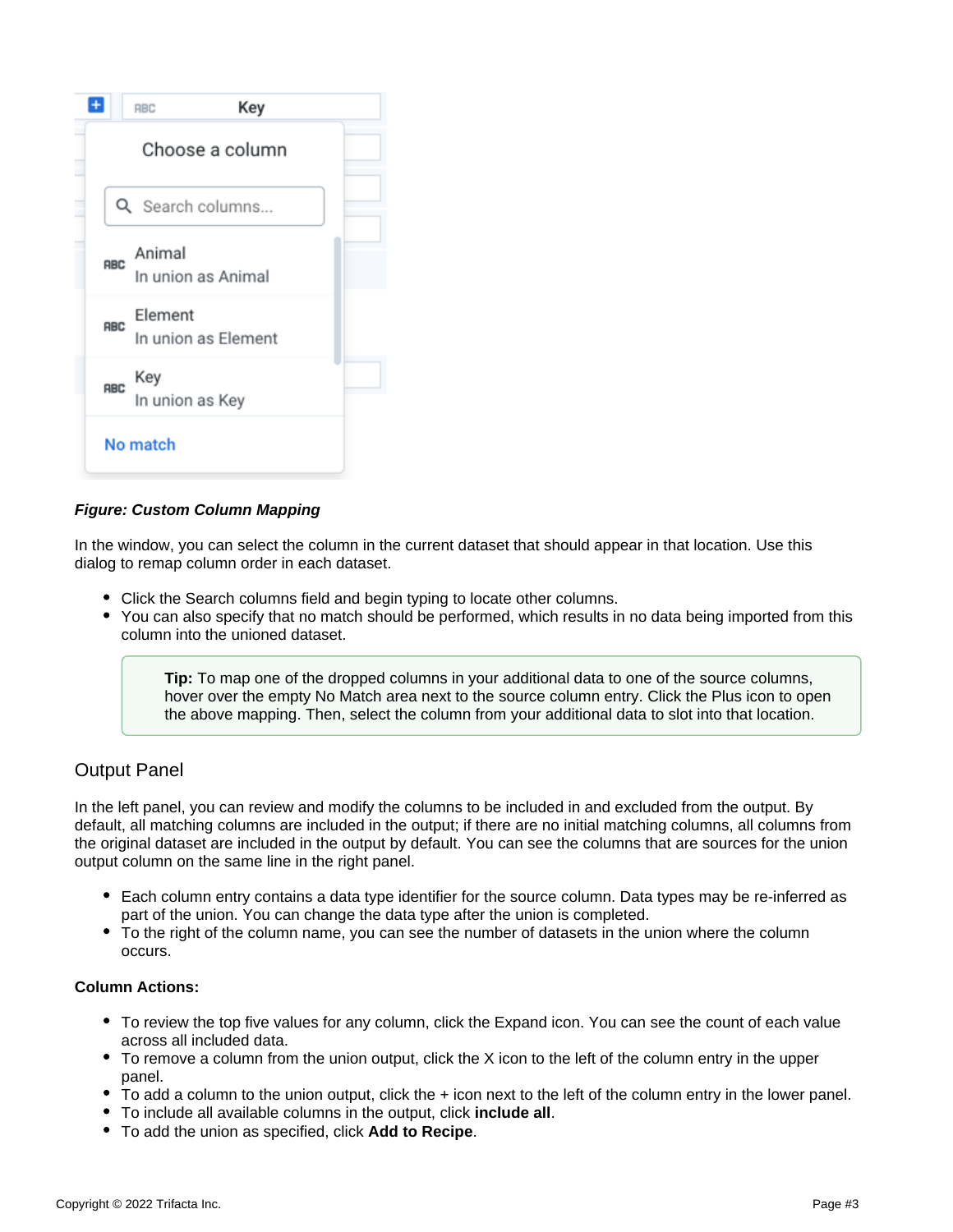

#### **Figure: Custom Column Mapping**

In the window, you can select the column in the current dataset that should appear in that location. Use this dialog to remap column order in each dataset.

- Click the Search columns field and begin typing to locate other columns.
- You can also specify that no match should be performed, which results in no data being imported from this column into the unioned dataset.

**Tip:** To map one of the dropped columns in your additional data to one of the source columns, hover over the empty No Match area next to the source column entry. Click the Plus icon to open the above mapping. Then, select the column from your additional data to slot into that location.

## <span id="page-2-0"></span>Output Panel

In the left panel, you can review and modify the columns to be included in and excluded from the output. By default, all matching columns are included in the output; if there are no initial matching columns, all columns from the original dataset are included in the output by default. You can see the columns that are sources for the union output column on the same line in the right panel.

- Each column entry contains a data type identifier for the source column. Data types may be re-inferred as part of the union. You can change the data type after the union is completed.
- To the right of the column name, you can see the number of datasets in the union where the column occurs.

#### **Column Actions:**

- To review the top five values for any column, click the Expand icon. You can see the count of each value across all included data.
- To remove a column from the union output, click the X icon to the left of the column entry in the upper panel.
- To add a column to the union output, click the + icon next to the left of the column entry in the lower panel.
- To include all available columns in the output, click **include all**.
- To add the union as specified, click **Add to Recipe**.